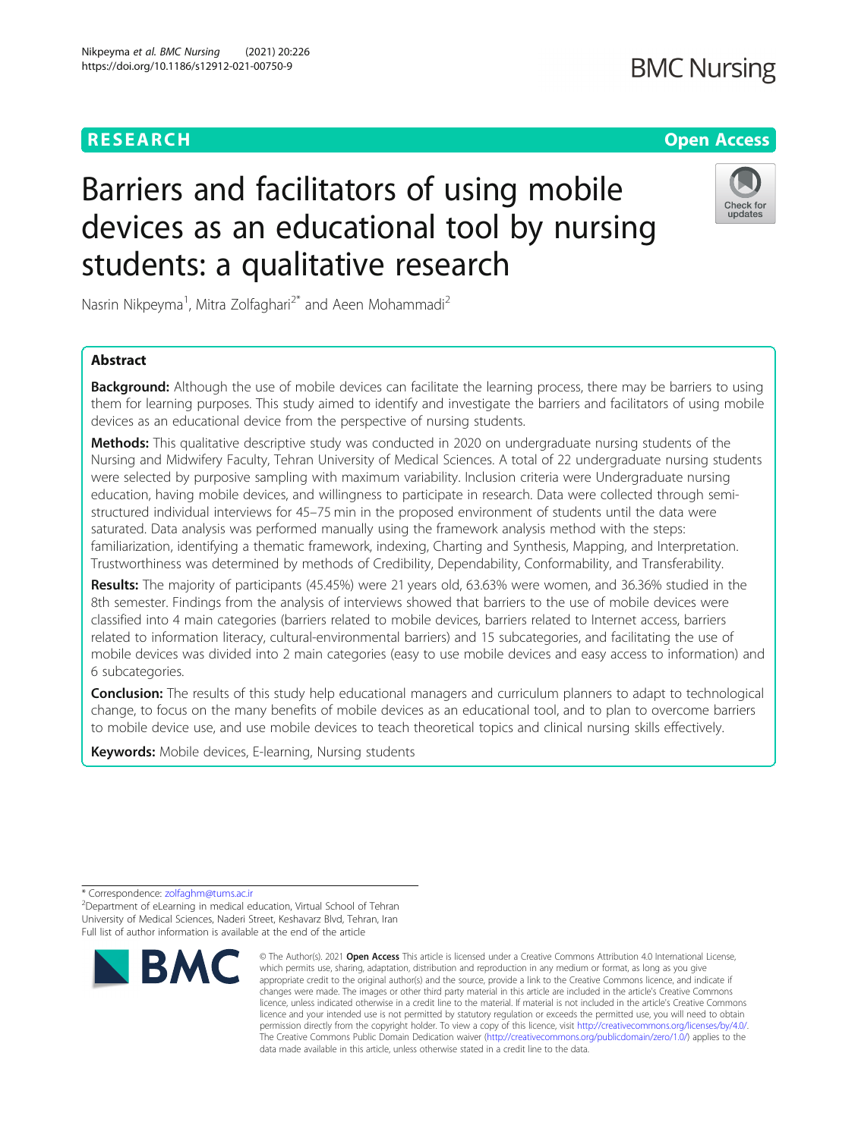# **BMC Nursing**

# **RESEARCH CHEAR CHEAR CHEAR CHEAR CHEAR CHEAP CONTROL**

# Check for updates

Nasrin Nikpeyma<sup>1</sup>, Mitra Zolfaghari<sup>2\*</sup> and Aeen Mohammadi<sup>2</sup>

students: a qualitative research

Barriers and facilitators of using mobile

devices as an educational tool by nursing

# Abstract

Background: Although the use of mobile devices can facilitate the learning process, there may be barriers to using them for learning purposes. This study aimed to identify and investigate the barriers and facilitators of using mobile devices as an educational device from the perspective of nursing students.

**Methods:** This qualitative descriptive study was conducted in 2020 on undergraduate nursing students of the Nursing and Midwifery Faculty, Tehran University of Medical Sciences. A total of 22 undergraduate nursing students were selected by purposive sampling with maximum variability. Inclusion criteria were Undergraduate nursing education, having mobile devices, and willingness to participate in research. Data were collected through semistructured individual interviews for 45–75 min in the proposed environment of students until the data were saturated. Data analysis was performed manually using the framework analysis method with the steps: familiarization, identifying a thematic framework, indexing, Charting and Synthesis, Mapping, and Interpretation. Trustworthiness was determined by methods of Credibility, Dependability, Conformability, and Transferability.

Results: The majority of participants (45.45%) were 21 years old, 63.63% were women, and 36.36% studied in the 8th semester. Findings from the analysis of interviews showed that barriers to the use of mobile devices were classified into 4 main categories (barriers related to mobile devices, barriers related to Internet access, barriers related to information literacy, cultural-environmental barriers) and 15 subcategories, and facilitating the use of mobile devices was divided into 2 main categories (easy to use mobile devices and easy access to information) and 6 subcategories.

**Conclusion:** The results of this study help educational managers and curriculum planners to adapt to technological change, to focus on the many benefits of mobile devices as an educational tool, and to plan to overcome barriers to mobile device use, and use mobile devices to teach theoretical topics and clinical nursing skills effectively.

Keywords: Mobile devices, E-learning, Nursing students

<sup>&</sup>lt;sup>2</sup>Department of eLearning in medical education, Virtual School of Tehran University of Medical Sciences, Naderi Street, Keshavarz Blvd, Tehran, Iran Full list of author information is available at the end of the article



<sup>©</sup> The Author(s), 2021 **Open Access** This article is licensed under a Creative Commons Attribution 4.0 International License, which permits use, sharing, adaptation, distribution and reproduction in any medium or format, as long as you give appropriate credit to the original author(s) and the source, provide a link to the Creative Commons licence, and indicate if changes were made. The images or other third party material in this article are included in the article's Creative Commons licence, unless indicated otherwise in a credit line to the material. If material is not included in the article's Creative Commons licence and your intended use is not permitted by statutory regulation or exceeds the permitted use, you will need to obtain permission directly from the copyright holder. To view a copy of this licence, visit [http://creativecommons.org/licenses/by/4.0/.](http://creativecommons.org/licenses/by/4.0/) The Creative Commons Public Domain Dedication waiver [\(http://creativecommons.org/publicdomain/zero/1.0/](http://creativecommons.org/publicdomain/zero/1.0/)) applies to the data made available in this article, unless otherwise stated in a credit line to the data.

<sup>\*</sup> Correspondence: [zolfaghm@tums.ac.ir](mailto:zolfaghm@tums.ac.ir) <sup>2</sup>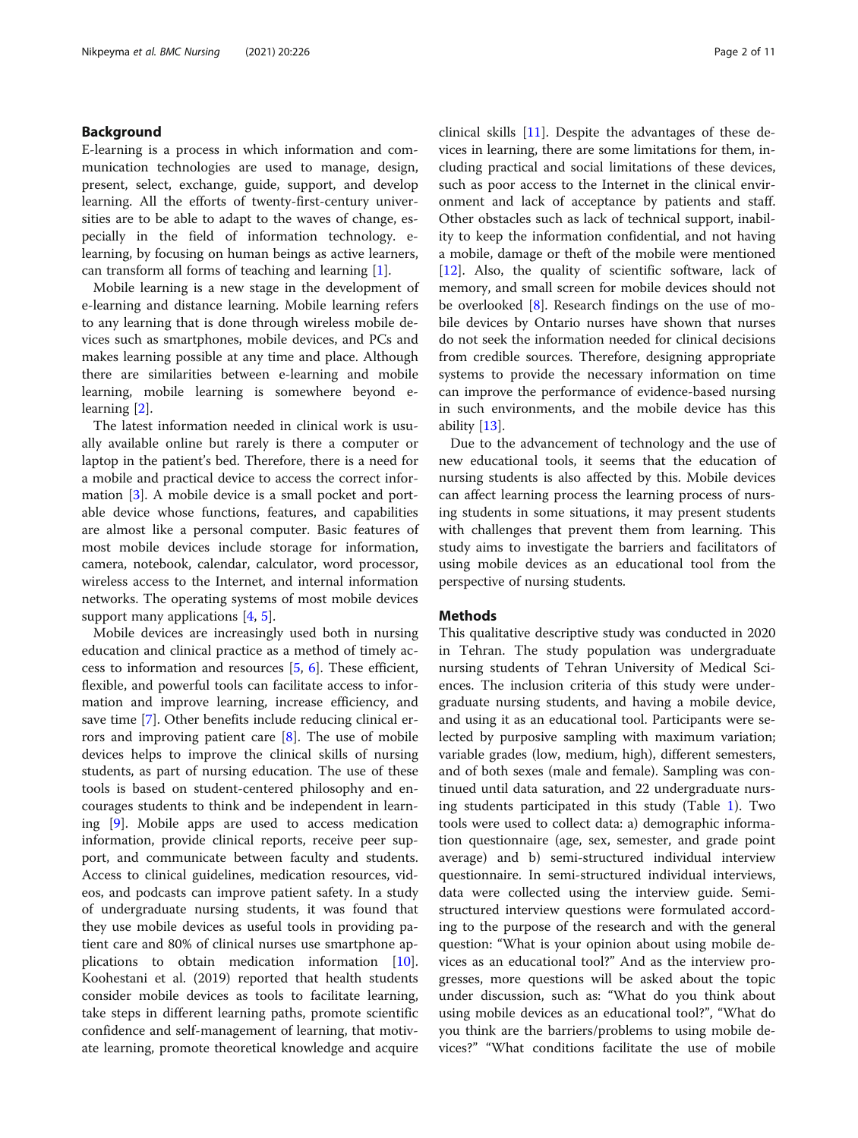# Background

E-learning is a process in which information and communication technologies are used to manage, design, present, select, exchange, guide, support, and develop learning. All the efforts of twenty-first-century universities are to be able to adapt to the waves of change, especially in the field of information technology. elearning, by focusing on human beings as active learners, can transform all forms of teaching and learning [[1](#page-9-0)].

Mobile learning is a new stage in the development of e-learning and distance learning. Mobile learning refers to any learning that is done through wireless mobile devices such as smartphones, mobile devices, and PCs and makes learning possible at any time and place. Although there are similarities between e-learning and mobile learning, mobile learning is somewhere beyond elearning [[2\]](#page-9-0).

The latest information needed in clinical work is usually available online but rarely is there a computer or laptop in the patient's bed. Therefore, there is a need for a mobile and practical device to access the correct information [\[3](#page-9-0)]. A mobile device is a small pocket and portable device whose functions, features, and capabilities are almost like a personal computer. Basic features of most mobile devices include storage for information, camera, notebook, calendar, calculator, word processor, wireless access to the Internet, and internal information networks. The operating systems of most mobile devices support many applications [\[4](#page-9-0), [5](#page-9-0)].

Mobile devices are increasingly used both in nursing education and clinical practice as a method of timely access to information and resources [[5,](#page-9-0) [6](#page-9-0)]. These efficient, flexible, and powerful tools can facilitate access to information and improve learning, increase efficiency, and save time [\[7\]](#page-10-0). Other benefits include reducing clinical errors and improving patient care [\[8](#page-10-0)]. The use of mobile devices helps to improve the clinical skills of nursing students, as part of nursing education. The use of these tools is based on student-centered philosophy and encourages students to think and be independent in learning [[9\]](#page-10-0). Mobile apps are used to access medication information, provide clinical reports, receive peer support, and communicate between faculty and students. Access to clinical guidelines, medication resources, videos, and podcasts can improve patient safety. In a study of undergraduate nursing students, it was found that they use mobile devices as useful tools in providing patient care and 80% of clinical nurses use smartphone applications to obtain medication information [\[10](#page-10-0)]. Koohestani et al. (2019) reported that health students consider mobile devices as tools to facilitate learning, take steps in different learning paths, promote scientific confidence and self-management of learning, that motivate learning, promote theoretical knowledge and acquire clinical skills [[11\]](#page-10-0). Despite the advantages of these devices in learning, there are some limitations for them, including practical and social limitations of these devices, such as poor access to the Internet in the clinical environment and lack of acceptance by patients and staff. Other obstacles such as lack of technical support, inability to keep the information confidential, and not having a mobile, damage or theft of the mobile were mentioned [[12\]](#page-10-0). Also, the quality of scientific software, lack of memory, and small screen for mobile devices should not be overlooked [\[8](#page-10-0)]. Research findings on the use of mobile devices by Ontario nurses have shown that nurses do not seek the information needed for clinical decisions from credible sources. Therefore, designing appropriate systems to provide the necessary information on time can improve the performance of evidence-based nursing in such environments, and the mobile device has this ability [[13](#page-10-0)].

Due to the advancement of technology and the use of new educational tools, it seems that the education of nursing students is also affected by this. Mobile devices can affect learning process the learning process of nursing students in some situations, it may present students with challenges that prevent them from learning. This study aims to investigate the barriers and facilitators of using mobile devices as an educational tool from the perspective of nursing students.

## **Methods**

This qualitative descriptive study was conducted in 2020 in Tehran. The study population was undergraduate nursing students of Tehran University of Medical Sciences. The inclusion criteria of this study were undergraduate nursing students, and having a mobile device, and using it as an educational tool. Participants were selected by purposive sampling with maximum variation; variable grades (low, medium, high), different semesters, and of both sexes (male and female). Sampling was continued until data saturation, and 22 undergraduate nursing students participated in this study (Table [1\)](#page-2-0). Two tools were used to collect data: a) demographic information questionnaire (age, sex, semester, and grade point average) and b) semi-structured individual interview questionnaire. In semi-structured individual interviews, data were collected using the interview guide. Semistructured interview questions were formulated according to the purpose of the research and with the general question: "What is your opinion about using mobile devices as an educational tool?" And as the interview progresses, more questions will be asked about the topic under discussion, such as: "What do you think about using mobile devices as an educational tool?", "What do you think are the barriers/problems to using mobile devices?" "What conditions facilitate the use of mobile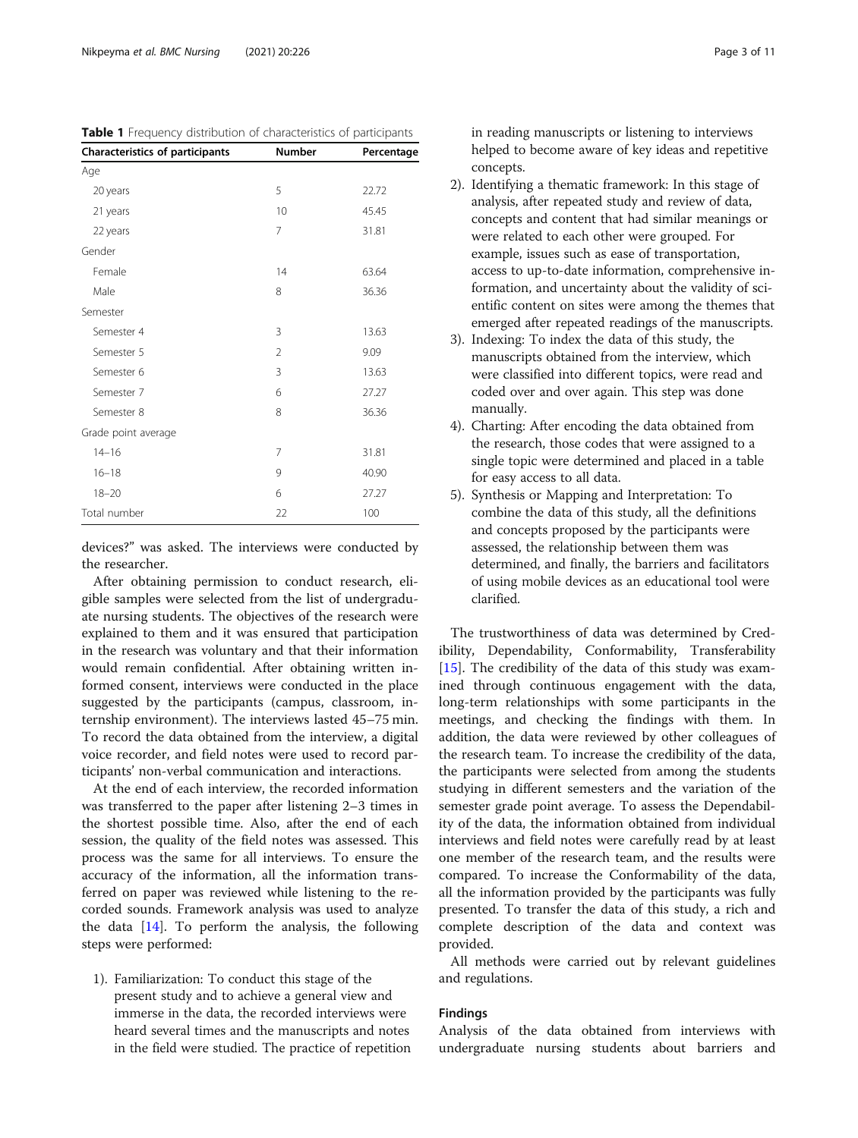| <b>Characteristics of participants</b> | <b>Number</b>  | Percentage |
|----------------------------------------|----------------|------------|
| Age                                    |                |            |
| 20 years                               | 5              | 22.72      |
| 21 years                               | 10             | 45.45      |
| 22 years                               | 7              | 31.81      |
| Gender                                 |                |            |
| Female                                 | 14             | 63.64      |
| Male                                   | 8              | 36.36      |
| Semester                               |                |            |
| Semester 4                             | 3              | 13.63      |
| Semester 5                             | $\overline{2}$ | 9.09       |
| Semester 6                             | 3              | 13.63      |
| Semester 7                             | 6              | 27.27      |
| Semester 8                             | 8              | 36.36      |
| Grade point average                    |                |            |
| $14 - 16$                              | 7              | 31.81      |
| $16 - 18$                              | 9              | 40.90      |
| $18 - 20$                              | 6              | 27.27      |
| Total number                           | 22             | 100        |

devices?" was asked. The interviews were conducted by the researcher.

After obtaining permission to conduct research, eligible samples were selected from the list of undergraduate nursing students. The objectives of the research were explained to them and it was ensured that participation in the research was voluntary and that their information would remain confidential. After obtaining written informed consent, interviews were conducted in the place suggested by the participants (campus, classroom, internship environment). The interviews lasted 45–75 min. To record the data obtained from the interview, a digital voice recorder, and field notes were used to record participants' non-verbal communication and interactions.

At the end of each interview, the recorded information was transferred to the paper after listening 2–3 times in the shortest possible time. Also, after the end of each session, the quality of the field notes was assessed. This process was the same for all interviews. To ensure the accuracy of the information, all the information transferred on paper was reviewed while listening to the recorded sounds. Framework analysis was used to analyze the data [[14\]](#page-10-0). To perform the analysis, the following steps were performed:

1). Familiarization: To conduct this stage of the present study and to achieve a general view and immerse in the data, the recorded interviews were heard several times and the manuscripts and notes in the field were studied. The practice of repetition

in reading manuscripts or listening to interviews helped to become aware of key ideas and repetitive concepts.

- 2). Identifying a thematic framework: In this stage of analysis, after repeated study and review of data, concepts and content that had similar meanings or were related to each other were grouped. For example, issues such as ease of transportation, access to up-to-date information, comprehensive information, and uncertainty about the validity of scientific content on sites were among the themes that emerged after repeated readings of the manuscripts.
- 3). Indexing: To index the data of this study, the manuscripts obtained from the interview, which were classified into different topics, were read and coded over and over again. This step was done manually.
- 4). Charting: After encoding the data obtained from the research, those codes that were assigned to a single topic were determined and placed in a table for easy access to all data.
- 5). Synthesis or Mapping and Interpretation: To combine the data of this study, all the definitions and concepts proposed by the participants were assessed, the relationship between them was determined, and finally, the barriers and facilitators of using mobile devices as an educational tool were clarified.

The trustworthiness of data was determined by Credibility, Dependability, Conformability, Transferability [[15\]](#page-10-0). The credibility of the data of this study was examined through continuous engagement with the data, long-term relationships with some participants in the meetings, and checking the findings with them. In addition, the data were reviewed by other colleagues of the research team. To increase the credibility of the data, the participants were selected from among the students studying in different semesters and the variation of the semester grade point average. To assess the Dependability of the data, the information obtained from individual interviews and field notes were carefully read by at least one member of the research team, and the results were compared. To increase the Conformability of the data, all the information provided by the participants was fully presented. To transfer the data of this study, a rich and complete description of the data and context was provided.

All methods were carried out by relevant guidelines and regulations.

# Findings

Analysis of the data obtained from interviews with undergraduate nursing students about barriers and

| <b>Table I</b> FIEQUETICY GISTIDUTION OF CHARACTERISTICS OF DANICIDANTS |        |            |
|-------------------------------------------------------------------------|--------|------------|
| <b>Characteristics of participants</b>                                  | Number | Percentage |
| Age                                                                     |        |            |
| 20 years                                                                |        | 22.72      |

<span id="page-2-0"></span>Table 1 Frequency distribution of characteristics of participants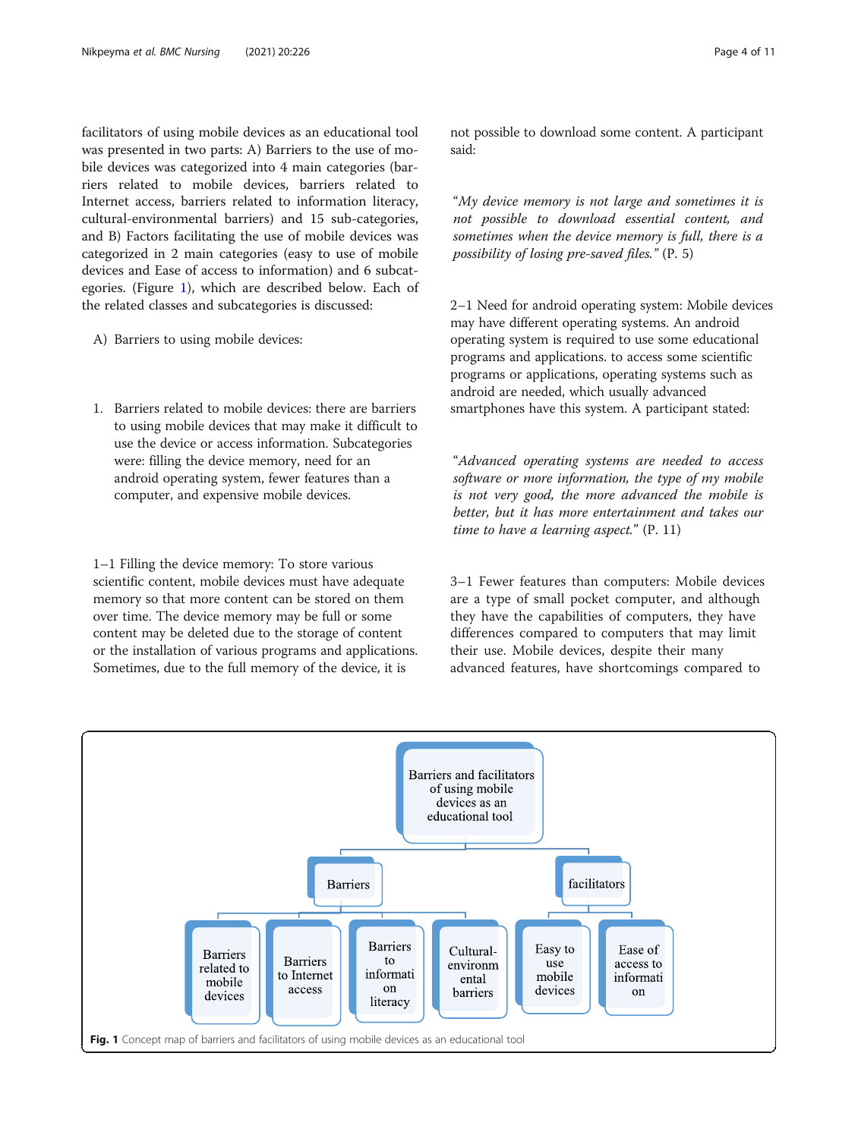facilitators of using mobile devices as an educational tool was presented in two parts: A) Barriers to the use of mobile devices was categorized into 4 main categories (barriers related to mobile devices, barriers related to Internet access, barriers related to information literacy, cultural-environmental barriers) and 15 sub-categories, and B) Factors facilitating the use of mobile devices was categorized in 2 main categories (easy to use of mobile devices and Ease of access to information) and 6 subcategories. (Figure 1), which are described below. Each of the related classes and subcategories is discussed:

- A) Barriers to using mobile devices:
- 1. Barriers related to mobile devices: there are barriers to using mobile devices that may make it difficult to use the device or access information. Subcategories were: filling the device memory, need for an android operating system, fewer features than a computer, and expensive mobile devices.

1–1 Filling the device memory: To store various scientific content, mobile devices must have adequate memory so that more content can be stored on them over time. The device memory may be full or some content may be deleted due to the storage of content or the installation of various programs and applications. Sometimes, due to the full memory of the device, it is

not possible to download some content. A participant said:

"My device memory is not large and sometimes it is not possible to download essential content, and sometimes when the device memory is full, there is a possibility of losing pre-saved files." (P. 5)

2–1 Need for android operating system: Mobile devices may have different operating systems. An android operating system is required to use some educational programs and applications. to access some scientific programs or applications, operating systems such as android are needed, which usually advanced smartphones have this system. A participant stated:

"Advanced operating systems are needed to access software or more information, the type of my mobile is not very good, the more advanced the mobile is better, but it has more entertainment and takes our time to have a learning aspect." (P. 11)

3–1 Fewer features than computers: Mobile devices are a type of small pocket computer, and although they have the capabilities of computers, they have differences compared to computers that may limit their use. Mobile devices, despite their many advanced features, have shortcomings compared to

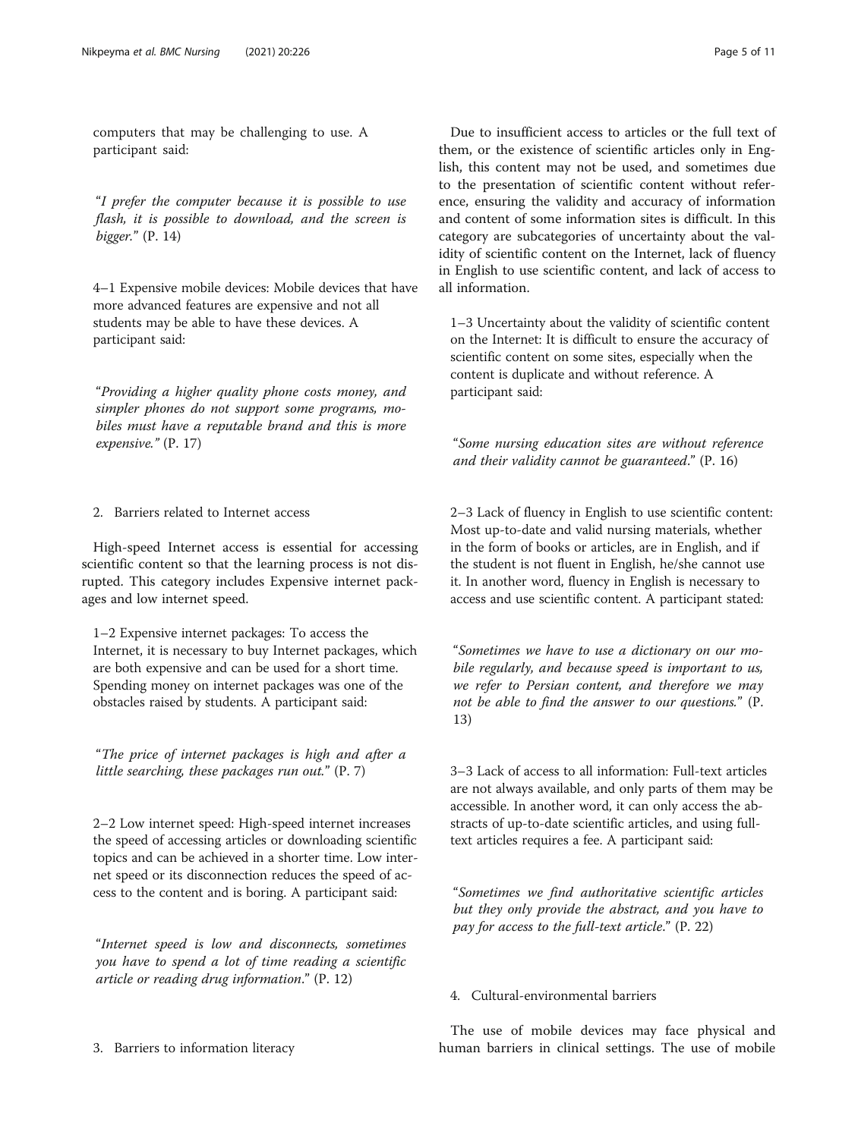computers that may be challenging to use. A participant said:

"I prefer the computer because it is possible to use flash, it is possible to download, and the screen is bigger." (P. 14)

4–1 Expensive mobile devices: Mobile devices that have more advanced features are expensive and not all students may be able to have these devices. A participant said:

"Providing a higher quality phone costs money, and simpler phones do not support some programs, mobiles must have a reputable brand and this is more expensive." (P. 17)

# 2. Barriers related to Internet access

High-speed Internet access is essential for accessing scientific content so that the learning process is not disrupted. This category includes Expensive internet packages and low internet speed.

1–2 Expensive internet packages: To access the Internet, it is necessary to buy Internet packages, which are both expensive and can be used for a short time. Spending money on internet packages was one of the obstacles raised by students. A participant said:

"The price of internet packages is high and after a little searching, these packages run out." (P. 7)

2–2 Low internet speed: High-speed internet increases the speed of accessing articles or downloading scientific topics and can be achieved in a shorter time. Low internet speed or its disconnection reduces the speed of access to the content and is boring. A participant said:

"Internet speed is low and disconnects, sometimes you have to spend a lot of time reading a scientific article or reading drug information." (P. 12)

Due to insufficient access to articles or the full text of them, or the existence of scientific articles only in English, this content may not be used, and sometimes due to the presentation of scientific content without reference, ensuring the validity and accuracy of information and content of some information sites is difficult. In this category are subcategories of uncertainty about the validity of scientific content on the Internet, lack of fluency in English to use scientific content, and lack of access to all information.

1–3 Uncertainty about the validity of scientific content on the Internet: It is difficult to ensure the accuracy of scientific content on some sites, especially when the content is duplicate and without reference. A participant said:

"Some nursing education sites are without reference and their validity cannot be guaranteed." (P. 16)

2–3 Lack of fluency in English to use scientific content: Most up-to-date and valid nursing materials, whether in the form of books or articles, are in English, and if the student is not fluent in English, he/she cannot use it. In another word, fluency in English is necessary to access and use scientific content. A participant stated:

"Sometimes we have to use a dictionary on our mobile regularly, and because speed is important to us, we refer to Persian content, and therefore we may not be able to find the answer to our questions." (P. 13)

3–3 Lack of access to all information: Full-text articles are not always available, and only parts of them may be accessible. In another word, it can only access the abstracts of up-to-date scientific articles, and using fulltext articles requires a fee. A participant said:

"Sometimes we find authoritative scientific articles but they only provide the abstract, and you have to pay for access to the full-text article." (P. 22)

# 4. Cultural-environmental barriers

The use of mobile devices may face physical and human barriers in clinical settings. The use of mobile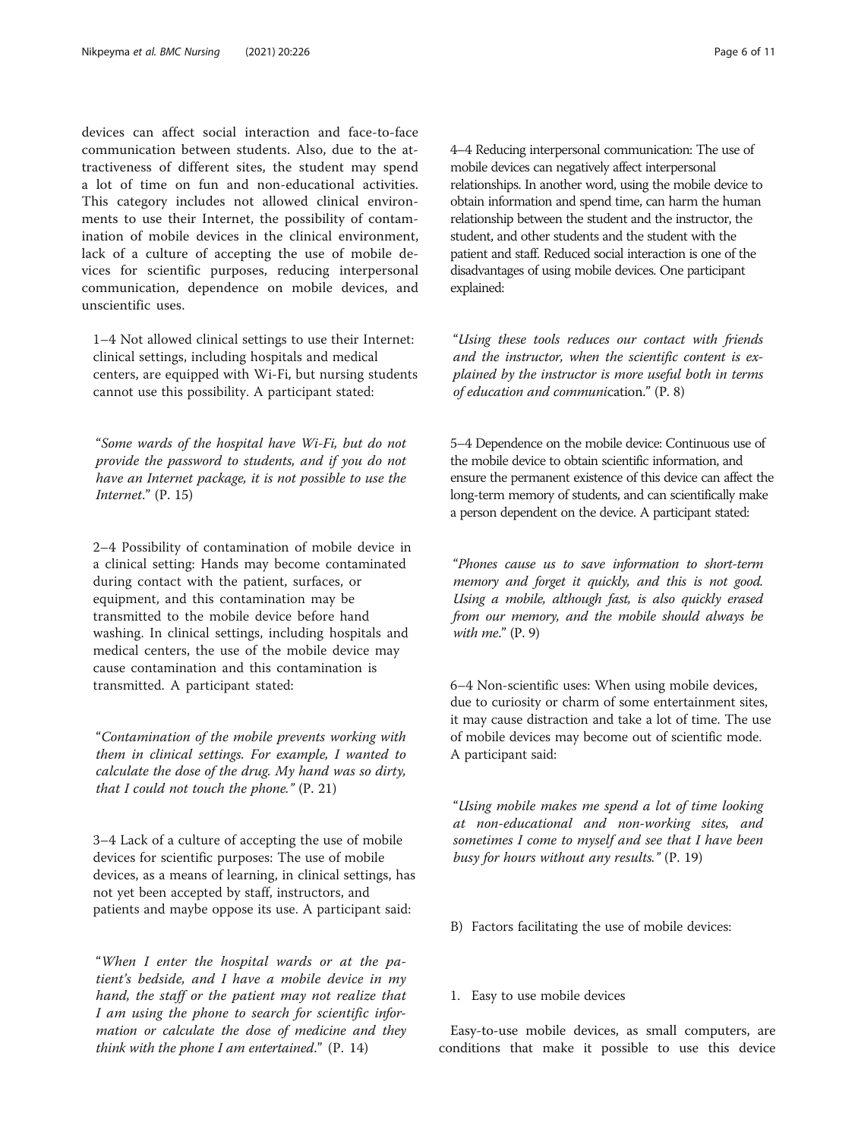devices can affect social interaction and face-to-face communication between students. Also, due to the attractiveness of different sites, the student may spend a lot of time on fun and non-educational activities. This category includes not allowed clinical environments to use their Internet, the possibility of contamination of mobile devices in the clinical environment, lack of a culture of accepting the use of mobile devices for scientific purposes, reducing interpersonal communication, dependence on mobile devices, and unscientific uses.

1–4 Not allowed clinical settings to use their Internet: clinical settings, including hospitals and medical centers, are equipped with Wi-Fi, but nursing students cannot use this possibility. A participant stated:

"Some wards of the hospital have Wi-Fi, but do not provide the password to students, and if you do not have an Internet package, it is not possible to use the Internet." (P. 15)

2–4 Possibility of contamination of mobile device in a clinical setting: Hands may become contaminated during contact with the patient, surfaces, or equipment, and this contamination may be transmitted to the mobile device before hand washing. In clinical settings, including hospitals and medical centers, the use of the mobile device may cause contamination and this contamination is transmitted. A participant stated:

"Contamination of the mobile prevents working with them in clinical settings. For example, I wanted to calculate the dose of the drug. My hand was so dirty, that I could not touch the phone."  $(P. 21)$ 

3–4 Lack of a culture of accepting the use of mobile devices for scientific purposes: The use of mobile devices, as a means of learning, in clinical settings, has not yet been accepted by staff, instructors, and patients and maybe oppose its use. A participant said:

"When I enter the hospital wards or at the patient's bedside, and I have a mobile device in my hand, the staff or the patient may not realize that I am using the phone to search for scientific information or calculate the dose of medicine and they think with the phone I am entertained."  $(P. 14)$ 

4–4 Reducing interpersonal communication: The use of mobile devices can negatively affect interpersonal relationships. In another word, using the mobile device to obtain information and spend time, can harm the human relationship between the student and the instructor, the student, and other students and the student with the patient and staff. Reduced social interaction is one of the disadvantages of using mobile devices. One participant explained:

"Using these tools reduces our contact with friends and the instructor, when the scientific content is explained by the instructor is more useful both in terms of education and communication." (P. 8)

5–4 Dependence on the mobile device: Continuous use of the mobile device to obtain scientific information, and ensure the permanent existence of this device can affect the long-term memory of students, and can scientifically make a person dependent on the device. A participant stated:

"Phones cause us to save information to short-term memory and forget it quickly, and this is not good. Using a mobile, although fast, is also quickly erased from our memory, and the mobile should always be with  $me$ ."  $(P. 9)$ 

6–4 Non-scientific uses: When using mobile devices, due to curiosity or charm of some entertainment sites, it may cause distraction and take a lot of time. The use of mobile devices may become out of scientific mode. A participant said:

"Using mobile makes me spend a lot of time looking at non-educational and non-working sites, and sometimes I come to myself and see that I have been busy for hours without any results." (P. 19)

- B) Factors facilitating the use of mobile devices:
- 1. Easy to use mobile devices

Easy-to-use mobile devices, as small computers, are conditions that make it possible to use this device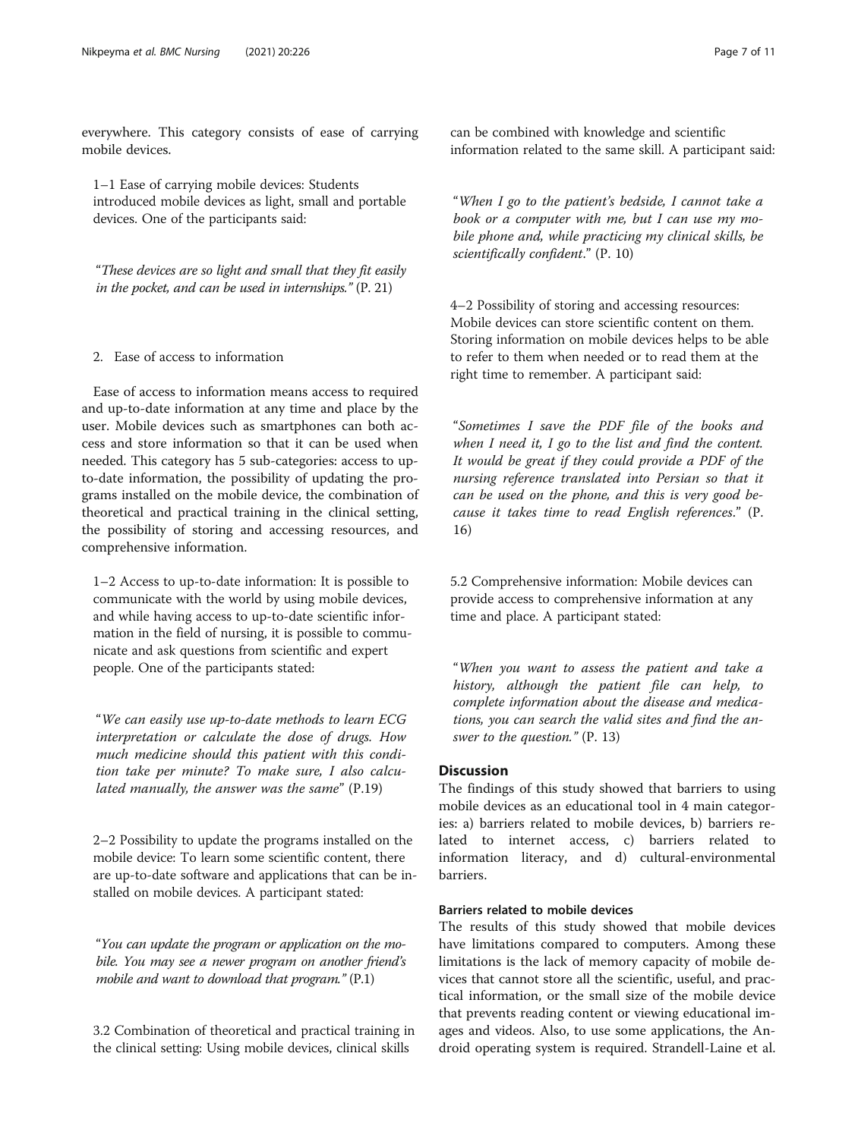everywhere. This category consists of ease of carrying mobile devices.

1–1 Ease of carrying mobile devices: Students introduced mobile devices as light, small and portable devices. One of the participants said:

"These devices are so light and small that they fit easily in the pocket, and can be used in internships." (P. 21)

# 2. Ease of access to information

Ease of access to information means access to required and up-to-date information at any time and place by the user. Mobile devices such as smartphones can both access and store information so that it can be used when needed. This category has 5 sub-categories: access to upto-date information, the possibility of updating the programs installed on the mobile device, the combination of theoretical and practical training in the clinical setting, the possibility of storing and accessing resources, and comprehensive information.

1–2 Access to up-to-date information: It is possible to communicate with the world by using mobile devices, and while having access to up-to-date scientific information in the field of nursing, it is possible to communicate and ask questions from scientific and expert people. One of the participants stated:

"We can easily use up-to-date methods to learn ECG interpretation or calculate the dose of drugs. How much medicine should this patient with this condition take per minute? To make sure, I also calculated manually, the answer was the same" (P.19)

2–2 Possibility to update the programs installed on the mobile device: To learn some scientific content, there are up-to-date software and applications that can be installed on mobile devices. A participant stated:

"You can update the program or application on the mobile. You may see a newer program on another friend's mobile and want to download that program." (P.1)

3.2 Combination of theoretical and practical training in the clinical setting: Using mobile devices, clinical skills

can be combined with knowledge and scientific information related to the same skill. A participant said:

"When I go to the patient's bedside, I cannot take a book or a computer with me, but I can use my mobile phone and, while practicing my clinical skills, be scientifically confident." (P. 10)

4–2 Possibility of storing and accessing resources: Mobile devices can store scientific content on them. Storing information on mobile devices helps to be able to refer to them when needed or to read them at the right time to remember. A participant said:

"Sometimes I save the PDF file of the books and when I need it, I go to the list and find the content. It would be great if they could provide a PDF of the nursing reference translated into Persian so that it can be used on the phone, and this is very good because it takes time to read English references." (P. 16)

5.2 Comprehensive information: Mobile devices can provide access to comprehensive information at any time and place. A participant stated:

"When you want to assess the patient and take a history, although the patient file can help, to complete information about the disease and medications, you can search the valid sites and find the answer to the question." (P. 13)

# **Discussion**

The findings of this study showed that barriers to using mobile devices as an educational tool in 4 main categories: a) barriers related to mobile devices, b) barriers related to internet access, c) barriers related to information literacy, and d) cultural-environmental barriers.

## Barriers related to mobile devices

The results of this study showed that mobile devices have limitations compared to computers. Among these limitations is the lack of memory capacity of mobile devices that cannot store all the scientific, useful, and practical information, or the small size of the mobile device that prevents reading content or viewing educational images and videos. Also, to use some applications, the Android operating system is required. Strandell-Laine et al.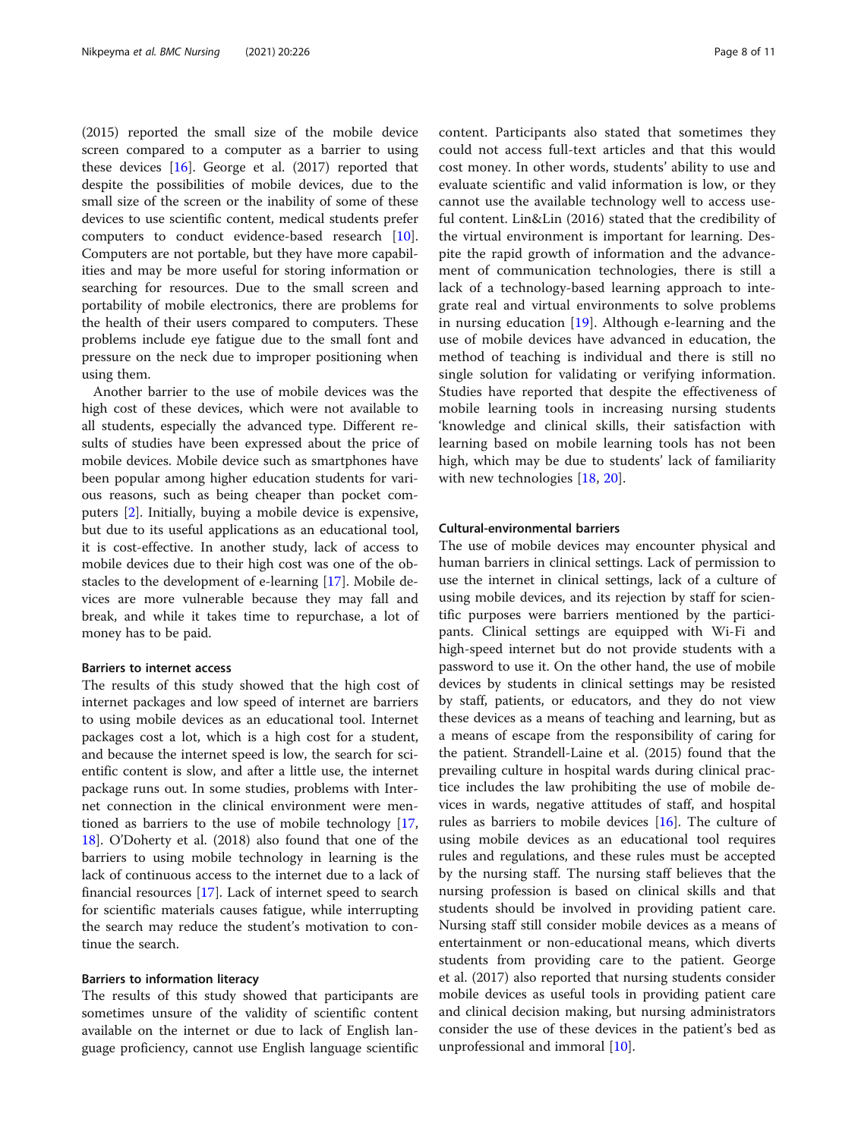(2015) reported the small size of the mobile device screen compared to a computer as a barrier to using these devices [[16\]](#page-10-0). George et al. (2017) reported that despite the possibilities of mobile devices, due to the small size of the screen or the inability of some of these devices to use scientific content, medical students prefer computers to conduct evidence-based research [\[10](#page-10-0)]. Computers are not portable, but they have more capabilities and may be more useful for storing information or searching for resources. Due to the small screen and portability of mobile electronics, there are problems for the health of their users compared to computers. These problems include eye fatigue due to the small font and pressure on the neck due to improper positioning when using them.

Another barrier to the use of mobile devices was the high cost of these devices, which were not available to all students, especially the advanced type. Different results of studies have been expressed about the price of mobile devices. Mobile device such as smartphones have been popular among higher education students for various reasons, such as being cheaper than pocket computers [[2\]](#page-9-0). Initially, buying a mobile device is expensive, but due to its useful applications as an educational tool, it is cost-effective. In another study, lack of access to mobile devices due to their high cost was one of the obstacles to the development of e-learning [\[17](#page-10-0)]. Mobile devices are more vulnerable because they may fall and break, and while it takes time to repurchase, a lot of money has to be paid.

#### Barriers to internet access

The results of this study showed that the high cost of internet packages and low speed of internet are barriers to using mobile devices as an educational tool. Internet packages cost a lot, which is a high cost for a student, and because the internet speed is low, the search for scientific content is slow, and after a little use, the internet package runs out. In some studies, problems with Internet connection in the clinical environment were mentioned as barriers to the use of mobile technology [[17](#page-10-0), [18\]](#page-10-0). O'Doherty et al. (2018) also found that one of the barriers to using mobile technology in learning is the lack of continuous access to the internet due to a lack of financial resources [\[17](#page-10-0)]. Lack of internet speed to search for scientific materials causes fatigue, while interrupting the search may reduce the student's motivation to continue the search.

# Barriers to information literacy

The results of this study showed that participants are sometimes unsure of the validity of scientific content available on the internet or due to lack of English language proficiency, cannot use English language scientific content. Participants also stated that sometimes they could not access full-text articles and that this would cost money. In other words, students' ability to use and evaluate scientific and valid information is low, or they cannot use the available technology well to access useful content. Lin&Lin (2016) stated that the credibility of the virtual environment is important for learning. Despite the rapid growth of information and the advancement of communication technologies, there is still a lack of a technology-based learning approach to integrate real and virtual environments to solve problems in nursing education [\[19](#page-10-0)]. Although e-learning and the use of mobile devices have advanced in education, the method of teaching is individual and there is still no single solution for validating or verifying information. Studies have reported that despite the effectiveness of mobile learning tools in increasing nursing students 'knowledge and clinical skills, their satisfaction with learning based on mobile learning tools has not been high, which may be due to students' lack of familiarity with new technologies [[18](#page-10-0), [20](#page-10-0)].

# Cultural-environmental barriers

The use of mobile devices may encounter physical and human barriers in clinical settings. Lack of permission to use the internet in clinical settings, lack of a culture of using mobile devices, and its rejection by staff for scientific purposes were barriers mentioned by the participants. Clinical settings are equipped with Wi-Fi and high-speed internet but do not provide students with a password to use it. On the other hand, the use of mobile devices by students in clinical settings may be resisted by staff, patients, or educators, and they do not view these devices as a means of teaching and learning, but as a means of escape from the responsibility of caring for the patient. Strandell-Laine et al. (2015) found that the prevailing culture in hospital wards during clinical practice includes the law prohibiting the use of mobile devices in wards, negative attitudes of staff, and hospital rules as barriers to mobile devices [[16\]](#page-10-0). The culture of using mobile devices as an educational tool requires rules and regulations, and these rules must be accepted by the nursing staff. The nursing staff believes that the nursing profession is based on clinical skills and that students should be involved in providing patient care. Nursing staff still consider mobile devices as a means of entertainment or non-educational means, which diverts students from providing care to the patient. George et al. (2017) also reported that nursing students consider mobile devices as useful tools in providing patient care and clinical decision making, but nursing administrators consider the use of these devices in the patient's bed as unprofessional and immoral [\[10\]](#page-10-0).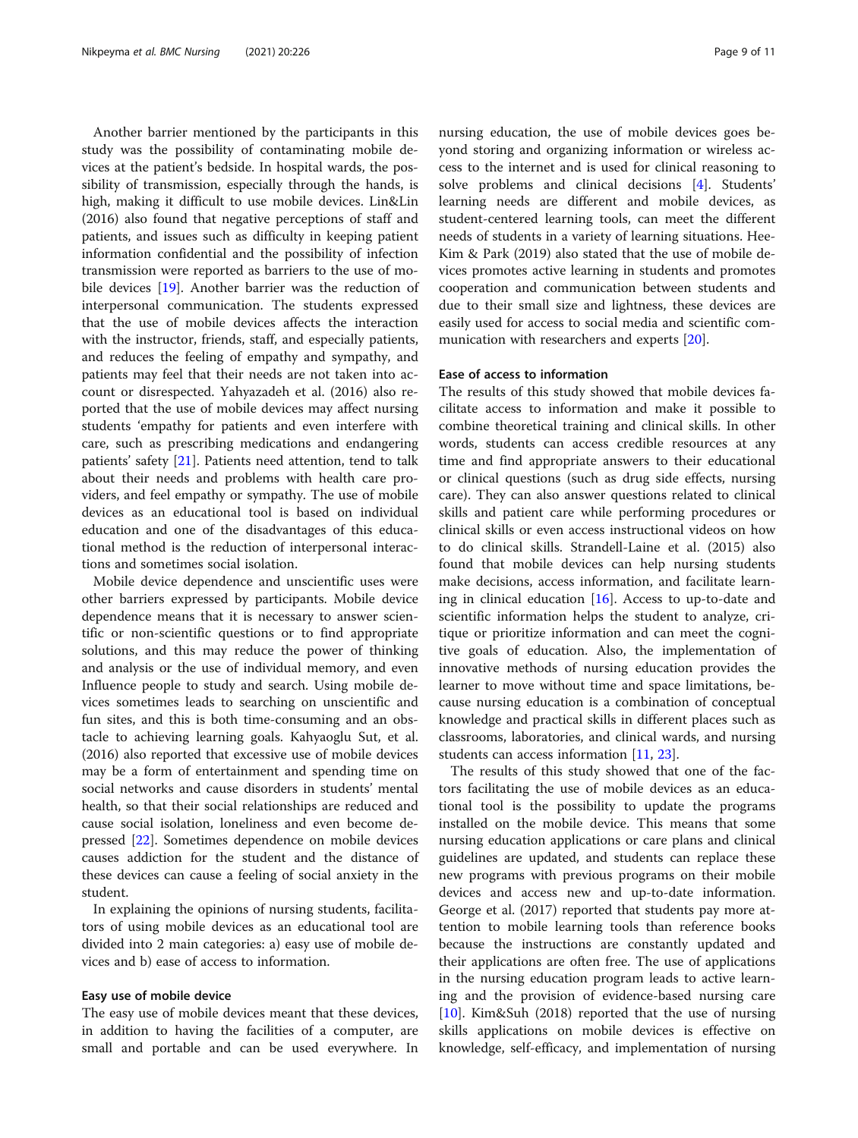Another barrier mentioned by the participants in this study was the possibility of contaminating mobile devices at the patient's bedside. In hospital wards, the possibility of transmission, especially through the hands, is high, making it difficult to use mobile devices. Lin&Lin (2016) also found that negative perceptions of staff and patients, and issues such as difficulty in keeping patient information confidential and the possibility of infection transmission were reported as barriers to the use of mobile devices [\[19](#page-10-0)]. Another barrier was the reduction of interpersonal communication. The students expressed that the use of mobile devices affects the interaction with the instructor, friends, staff, and especially patients, and reduces the feeling of empathy and sympathy, and patients may feel that their needs are not taken into account or disrespected. Yahyazadeh et al. (2016) also reported that the use of mobile devices may affect nursing students 'empathy for patients and even interfere with care, such as prescribing medications and endangering patients' safety [\[21](#page-10-0)]. Patients need attention, tend to talk about their needs and problems with health care providers, and feel empathy or sympathy. The use of mobile devices as an educational tool is based on individual education and one of the disadvantages of this educational method is the reduction of interpersonal interactions and sometimes social isolation.

Mobile device dependence and unscientific uses were other barriers expressed by participants. Mobile device dependence means that it is necessary to answer scientific or non-scientific questions or to find appropriate solutions, and this may reduce the power of thinking and analysis or the use of individual memory, and even Influence people to study and search. Using mobile devices sometimes leads to searching on unscientific and fun sites, and this is both time-consuming and an obstacle to achieving learning goals. Kahyaoglu Sut, et al. (2016) also reported that excessive use of mobile devices may be a form of entertainment and spending time on social networks and cause disorders in students' mental health, so that their social relationships are reduced and cause social isolation, loneliness and even become depressed [\[22](#page-10-0)]. Sometimes dependence on mobile devices causes addiction for the student and the distance of these devices can cause a feeling of social anxiety in the student.

In explaining the opinions of nursing students, facilitators of using mobile devices as an educational tool are divided into 2 main categories: a) easy use of mobile devices and b) ease of access to information.

#### Easy use of mobile device

The easy use of mobile devices meant that these devices, in addition to having the facilities of a computer, are small and portable and can be used everywhere. In nursing education, the use of mobile devices goes beyond storing and organizing information or wireless access to the internet and is used for clinical reasoning to solve problems and clinical decisions [[4\]](#page-9-0). Students' learning needs are different and mobile devices, as student-centered learning tools, can meet the different needs of students in a variety of learning situations. Hee-Kim & Park (2019) also stated that the use of mobile devices promotes active learning in students and promotes cooperation and communication between students and due to their small size and lightness, these devices are easily used for access to social media and scientific communication with researchers and experts [\[20](#page-10-0)].

## Ease of access to information

The results of this study showed that mobile devices facilitate access to information and make it possible to combine theoretical training and clinical skills. In other words, students can access credible resources at any time and find appropriate answers to their educational or clinical questions (such as drug side effects, nursing care). They can also answer questions related to clinical skills and patient care while performing procedures or clinical skills or even access instructional videos on how to do clinical skills. Strandell-Laine et al. (2015) also found that mobile devices can help nursing students make decisions, access information, and facilitate learning in clinical education  $[16]$  $[16]$ . Access to up-to-date and scientific information helps the student to analyze, critique or prioritize information and can meet the cognitive goals of education. Also, the implementation of innovative methods of nursing education provides the learner to move without time and space limitations, because nursing education is a combination of conceptual knowledge and practical skills in different places such as classrooms, laboratories, and clinical wards, and nursing students can access information [[11,](#page-10-0) [23](#page-10-0)].

The results of this study showed that one of the factors facilitating the use of mobile devices as an educational tool is the possibility to update the programs installed on the mobile device. This means that some nursing education applications or care plans and clinical guidelines are updated, and students can replace these new programs with previous programs on their mobile devices and access new and up-to-date information. George et al. (2017) reported that students pay more attention to mobile learning tools than reference books because the instructions are constantly updated and their applications are often free. The use of applications in the nursing education program leads to active learning and the provision of evidence-based nursing care [[10\]](#page-10-0). Kim&Suh (2018) reported that the use of nursing skills applications on mobile devices is effective on knowledge, self-efficacy, and implementation of nursing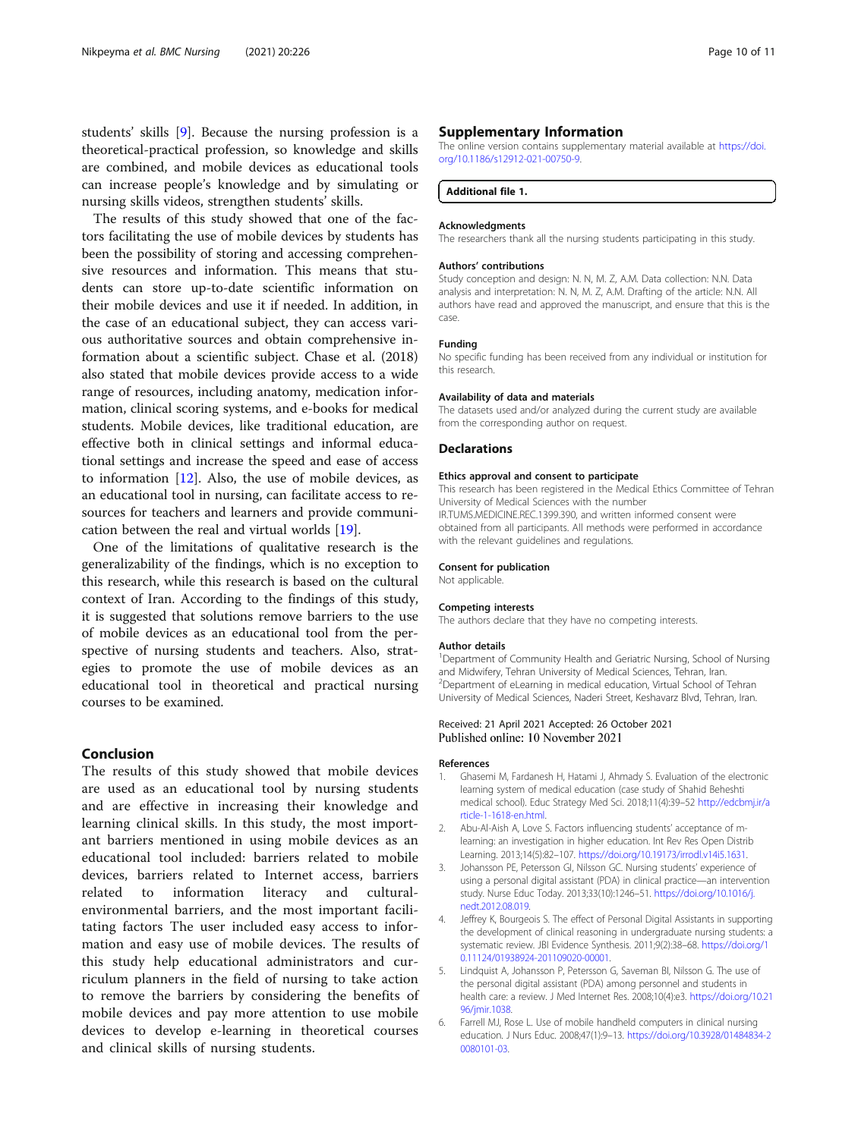<span id="page-9-0"></span>students' skills [[9\]](#page-10-0). Because the nursing profession is a theoretical-practical profession, so knowledge and skills are combined, and mobile devices as educational tools can increase people's knowledge and by simulating or nursing skills videos, strengthen students' skills.

The results of this study showed that one of the factors facilitating the use of mobile devices by students has been the possibility of storing and accessing comprehensive resources and information. This means that students can store up-to-date scientific information on their mobile devices and use it if needed. In addition, in the case of an educational subject, they can access various authoritative sources and obtain comprehensive information about a scientific subject. Chase et al. (2018) also stated that mobile devices provide access to a wide range of resources, including anatomy, medication information, clinical scoring systems, and e-books for medical students. Mobile devices, like traditional education, are effective both in clinical settings and informal educational settings and increase the speed and ease of access to information [[12\]](#page-10-0). Also, the use of mobile devices, as an educational tool in nursing, can facilitate access to resources for teachers and learners and provide communication between the real and virtual worlds [[19](#page-10-0)].

One of the limitations of qualitative research is the generalizability of the findings, which is no exception to this research, while this research is based on the cultural context of Iran. According to the findings of this study, it is suggested that solutions remove barriers to the use of mobile devices as an educational tool from the perspective of nursing students and teachers. Also, strategies to promote the use of mobile devices as an educational tool in theoretical and practical nursing courses to be examined.

# Conclusion

The results of this study showed that mobile devices are used as an educational tool by nursing students and are effective in increasing their knowledge and learning clinical skills. In this study, the most important barriers mentioned in using mobile devices as an educational tool included: barriers related to mobile devices, barriers related to Internet access, barriers related to information literacy and culturalenvironmental barriers, and the most important facilitating factors The user included easy access to information and easy use of mobile devices. The results of this study help educational administrators and curriculum planners in the field of nursing to take action to remove the barriers by considering the benefits of mobile devices and pay more attention to use mobile devices to develop e-learning in theoretical courses and clinical skills of nursing students.

The online version contains supplementary material available at [https://doi.](https://doi.org/10.1186/s12912-021-00750-9) [org/10.1186/s12912-021-00750-9.](https://doi.org/10.1186/s12912-021-00750-9)

## Additional file 1.

#### Acknowledgments

The researchers thank all the nursing students participating in this study.

#### Authors' contributions

Study conception and design: N. N, M. Z, A.M. Data collection: N.N. Data analysis and interpretation: N. N, M. Z, A.M. Drafting of the article: N.N. All authors have read and approved the manuscript, and ensure that this is the case.

#### Funding

No specific funding has been received from any individual or institution for this research.

#### Availability of data and materials

The datasets used and/or analyzed during the current study are available from the corresponding author on request.

#### Declarations

#### Ethics approval and consent to participate

This research has been registered in the Medical Ethics Committee of Tehran University of Medical Sciences with the number IR.TUMS.MEDICINE.REC.1399.390, and written informed consent were obtained from all participants. All methods were performed in accordance with the relevant guidelines and regulations.

#### Consent for publication

Not applicable.

#### Competing interests

The authors declare that they have no competing interests.

#### Author details

<sup>1</sup>Department of Community Health and Geriatric Nursing, School of Nursing and Midwifery, Tehran University of Medical Sciences, Tehran, Iran. 2 Department of eLearning in medical education, Virtual School of Tehran University of Medical Sciences, Naderi Street, Keshavarz Blvd, Tehran, Iran.

#### Received: 21 April 2021 Accepted: 26 October 2021 Published online: 10 November 2021

#### References

- 1. Ghasemi M, Fardanesh H, Hatami J, Ahmady S. Evaluation of the electronic learning system of medical education (case study of Shahid Beheshti medical school). Educ Strategy Med Sci. 2018;11(4):39–52 [http://edcbmj.ir/a](http://edcbmj.ir/article-1-1618-en.html) [rticle-1-1618-en.html](http://edcbmj.ir/article-1-1618-en.html).
- 2. Abu-Al-Aish A, Love S. Factors influencing students' acceptance of mlearning: an investigation in higher education. Int Rev Res Open Distrib Learning. 2013;14(5):82–107. <https://doi.org/10.19173/irrodl.v14i5.1631>.
- 3. Johansson PE, Petersson GI, Nilsson GC. Nursing students' experience of using a personal digital assistant (PDA) in clinical practice—an intervention study. Nurse Educ Today. 2013;33(10):1246–51. [https://doi.org/10.1016/j.](https://doi.org/10.1016/j.nedt.2012.08.019) [nedt.2012.08.019](https://doi.org/10.1016/j.nedt.2012.08.019).
- 4. Jeffrey K, Bourgeois S. The effect of Personal Digital Assistants in supporting the development of clinical reasoning in undergraduate nursing students: a systematic review. JBI Evidence Synthesis. 2011;9(2):38–68. [https://doi.org/1](https://doi.org/10.11124/01938924-201109020-00001) [0.11124/01938924-201109020-00001](https://doi.org/10.11124/01938924-201109020-00001).
- 5. Lindquist A, Johansson P, Petersson G, Saveman BI, Nilsson G. The use of the personal digital assistant (PDA) among personnel and students in health care: a review. J Med Internet Res. 2008;10(4):e3. [https://doi.org/10.21](https://doi.org/10.2196/jmir.1038) [96/jmir.1038.](https://doi.org/10.2196/jmir.1038)
- 6. Farrell MJ, Rose L. Use of mobile handheld computers in clinical nursing education. J Nurs Educ. 2008;47(1):9–13. [https://doi.org/10.3928/01484834-2](https://doi.org/10.3928/01484834-20080101-03) [0080101-03.](https://doi.org/10.3928/01484834-20080101-03)